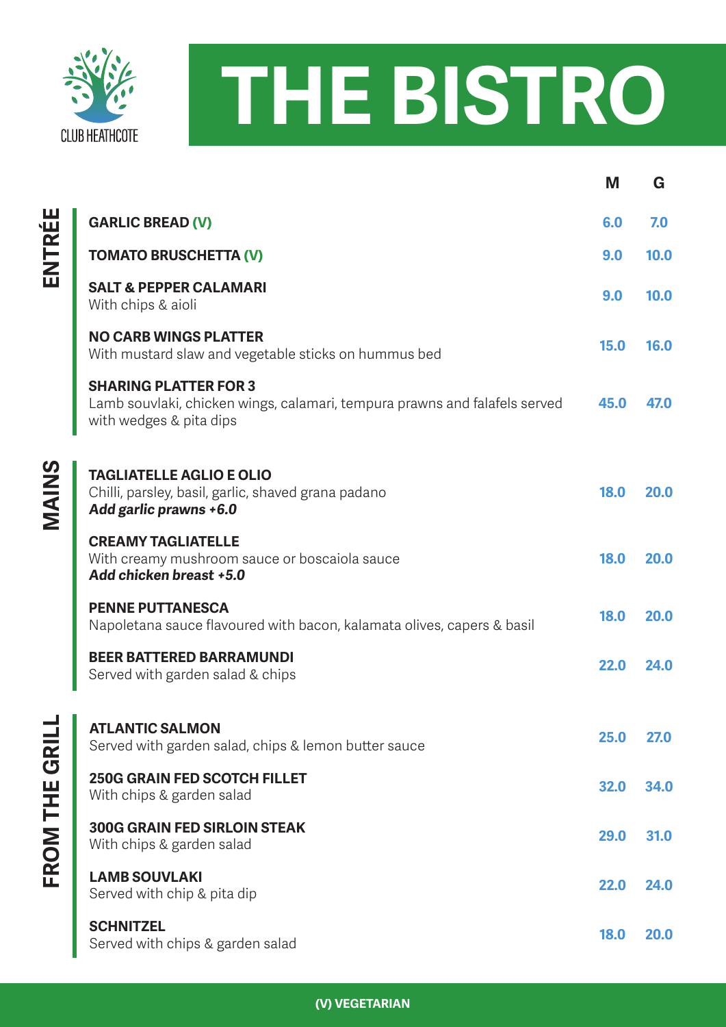



|               |                                                                                                                                       | M           | G           |
|---------------|---------------------------------------------------------------------------------------------------------------------------------------|-------------|-------------|
| ENTRÉE        | <b>GARLIC BREAD (V)</b>                                                                                                               | 6.0         | 7.0         |
|               | <b>TOMATO BRUSCHETTA (V)</b>                                                                                                          | 9.0         | 10.0        |
|               | <b>SALT &amp; PEPPER CALAMARI</b><br>With chips & aioli                                                                               | 9.0         | 10.0        |
|               | <b>NO CARB WINGS PLATTER</b><br>With mustard slaw and vegetable sticks on hummus bed                                                  | 15.0        | 16.0        |
|               | <b>SHARING PLATTER FOR 3</b><br>Lamb souvlaki, chicken wings, calamari, tempura prawns and falafels served<br>with wedges & pita dips | 45.0        | 47.0        |
| <b>SNINS</b>  | <b>TAGLIATELLE AGLIO E OLIO</b><br>Chilli, parsley, basil, garlic, shaved grana padano<br>Add garlic prawns +6.0                      | 18.0        | 20.0        |
|               | <b>CREAMY TAGLIATELLE</b><br>With creamy mushroom sauce or boscaiola sauce<br>Add chicken breast +5.0                                 | 18.0        | 20.0        |
|               | <b>PENNE PUTTANESCA</b><br>Napoletana sauce flavoured with bacon, kalamata olives, capers & basil                                     | 18.0        | 20.0        |
|               | <b>BEER BATTERED BARRAMUNDI</b><br>Served with garden salad & chips                                                                   | 22.0        | 24.0        |
| FROM THE GRIL | <b>ATLANTIC SALMON</b><br>Served with garden salad, chips & lemon butter sauce                                                        | 25.0        | 27.0        |
|               | <b>250G GRAIN FED SCOTCH FILLET</b><br>With chips & garden salad                                                                      | 32.0        | 34.0        |
|               | <b>300G GRAIN FED SIRLOIN STEAK</b><br>With chips & garden salad                                                                      | 29.0        | 31.0        |
|               | <b>LAMB SOUVLAKI</b><br>Served with chip & pita dip                                                                                   | 22.0        | 24.0        |
|               | <b>SCHNITZEL</b><br>Served with chips & garden salad                                                                                  | <b>18.0</b> | <b>20.0</b> |

**(V) VEGETARIAN**